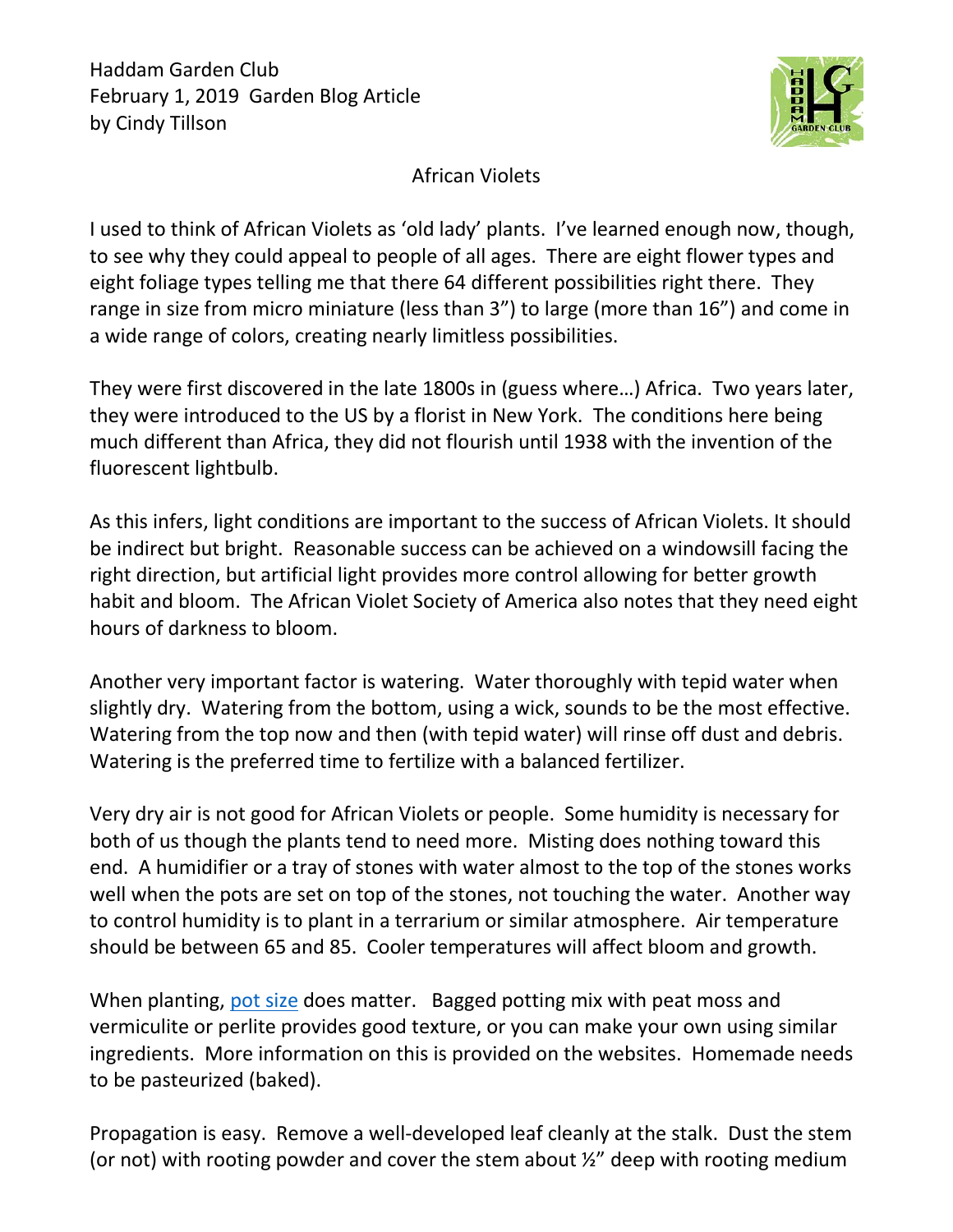

## African Violets

I used to think of African Violets as 'old lady' plants. I've learned enough now, though, to see why they could appeal to people of all ages. There are eight flower types and eight foliage types telling me that there 64 different possibilities right there. They range in size from micro miniature (less than 3") to large (more than 16") and come in a wide range of colors, creating nearly limitless possibilities.

They were first discovered in the late 1800s in (guess where…) Africa. Two years later, they were introduced to the US by a florist in New York. The conditions here being much different than Africa, they did not flourish until 1938 with the invention of the fluorescent lightbulb.

As this infers, light conditions are important to the success of African Violets. It should be indirect but bright. Reasonable success can be achieved on a windowsill facing the right direction, but artificial light provides more control allowing for better growth habit and bloom. The African Violet Society of America also notes that they need eight hours of darkness to bloom.

Another very important factor is watering. Water thoroughly with tepid water when slightly dry. Watering from the bottom, using a wick, sounds to be the most effective. Watering from the top now and then (with tepid water) will rinse off dust and debris. Watering is the preferred time to fertilize with a balanced fertilizer.

Very dry air is not good for African Violets or people. Some humidity is necessary for both of us though the plants tend to need more. Misting does nothing toward this end. A humidifier or a tray of stones with water almost to the top of the stones works well when the pots are set on top of the stones, not touching the water. Another way to control humidity is to plant in a terrarium or similar atmosphere. Air temperature should be between 65 and 85. Cooler temperatures will affect bloom and growth.

When planting, [pot size](https://pss.uvm.edu/ppp/articles/afrviolets.html) does matter. Bagged potting mix with peat moss and vermiculite or perlite provides good texture, or you can make your own using similar ingredients. More information on this is provided on the websites. Homemade needs to be pasteurized (baked).

Propagation is easy. Remove a well-developed leaf cleanly at the stalk. Dust the stem (or not) with rooting powder and cover the stem about ½" deep with rooting medium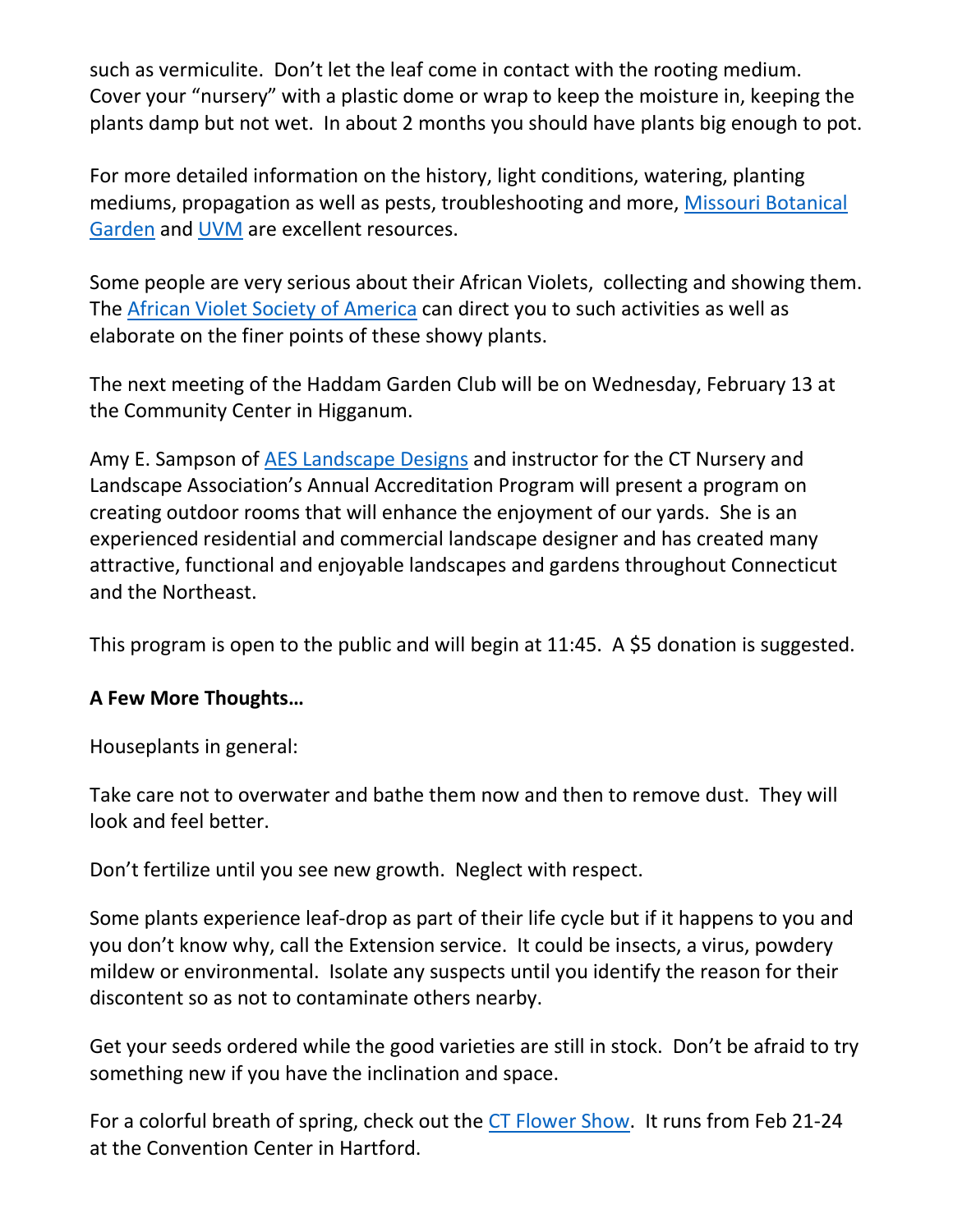such as vermiculite. Don't let the leaf come in contact with the rooting medium. Cover your "nursery" with a plastic dome or wrap to keep the moisture in, keeping the plants damp but not wet. In about 2 months you should have plants big enough to pot.

For more detailed information on the history, light conditions, watering, planting mediums, propagation as well as pests, troubleshooting and more, [Missouri Botanical](https://www.missouribotanicalgarden.org/Portals/0/Gardening/Gardening%20Help/Factsheets/African%20Violets2.pdf)  [Garden](https://www.missouribotanicalgarden.org/Portals/0/Gardening/Gardening%20Help/Factsheets/African%20Violets2.pdf) and [UVM](https://pss.uvm.edu/ppp/articles/afrviolets.html) are excellent resources.

Some people are very serious about their African Violets, collecting and showing them. The [African Violet Society of America](http://www.avsa.org/) can direct you to such activities as well as elaborate on the finer points of these showy plants.

The next meeting of the Haddam Garden Club will be on Wednesday, February 13 at the Community Center in Higganum.

Amy E. Sampson of AES [Landscape](http://www.aeslandscapedesign.com/) Designs and instructor for the CT Nursery and Landscape Association's Annual Accreditation Program will present a program on creating outdoor rooms that will enhance the enjoyment of our yards. She is an experienced residential and commercial landscape designer and has created many attractive, functional and enjoyable landscapes and gardens throughout Connecticut and the Northeast.

This program is open to the public and will begin at 11:45. A \$5 donation is suggested.

## **A Few More Thoughts…**

Houseplants in general:

Take care not to overwater and bathe them now and then to remove dust. They will look and feel better.

Don't fertilize until you see new growth. Neglect with respect.

Some plants experience leaf-drop as part of their life cycle but if it happens to you and you don't know why, call the Extension service. It could be insects, a virus, powdery mildew or environmental. Isolate any suspects until you identify the reason for their discontent so as not to contaminate others nearby.

Get your seeds ordered while the good varieties are still in stock. Don't be afraid to try something new if you have the inclination and space.

For a colorful breath of spring, check out the [CT Flower Show.](https://ctflowershow.com/) It runs from Feb 21-24 at the Convention Center in Hartford.